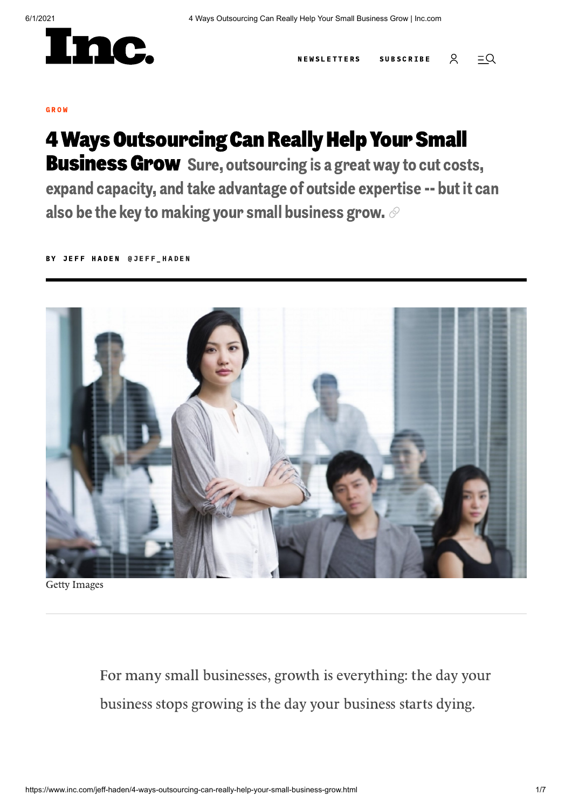

[N](https://www.inc.com/newsletters)EW[S](https://www.inc.com/subscribe)LETTERS SUBSCRIBE Q  $=Q$ 

#### G [R](https://www.inc.com/grow) O W

# **4 Ways Outsourcing Can Really Help Your Small Business Grow** Sure, outsourcing is a great way to cut costs,

expand capacity, and take advantage of outside expertise -- but it can also be the key to making your small business grow.  $\mathcal O$ 

BY J[E](https://www.inc.com/author/jeff-haden)FF HADEN [@](https://twitter.com/jeff_haden)JEFF HADEN



Getty Images

For many small businesses, growth is everything: the day your business stops growing is the day your business starts dying.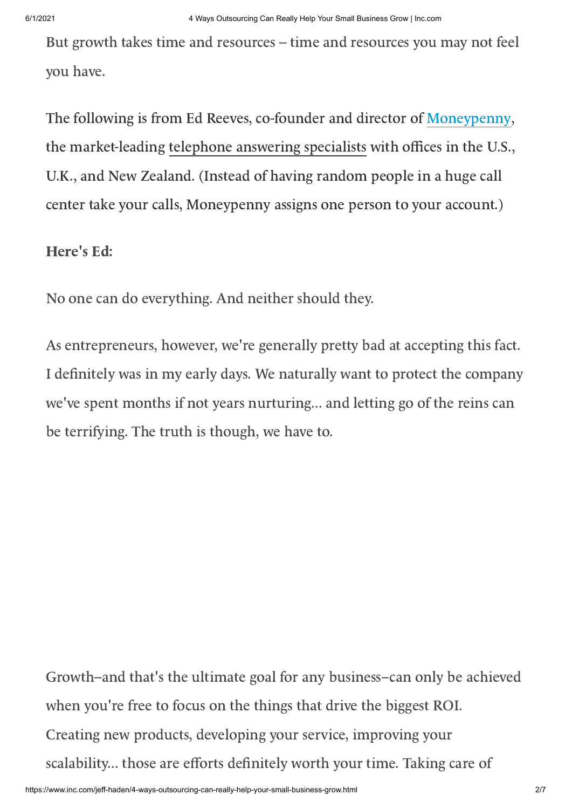But growth takes time and resources -- time and resources you may not feel you have.

The following is from Ed Reeves, co-founder and director of [Moneypenny](http://www.moneypenny.com/), the market-leading telephone [answering](http://www.moneypenny.com/) specialists with offices in the U.S., U.K., and New Zealand. (Instead of having random people in a huge call center take your calls, Moneypenny assigns one person to your account.)

### Here's Ed:

No one can do everything. And neither should they.

As entrepreneurs, however, we're generally pretty bad at accepting this fact. I definitely was in my early days. We naturally want to protect the company we've spent months if not years nurturing... and letting go of the reins can be terrifying. The truth is though, we have to.

Growth--and that's the ultimate goal for any business--can only be achieved when you're free to focus on the things that drive the biggest ROI. Creating new products, developing your service, improving your scalability... those are efforts definitely worth your time. Taking care of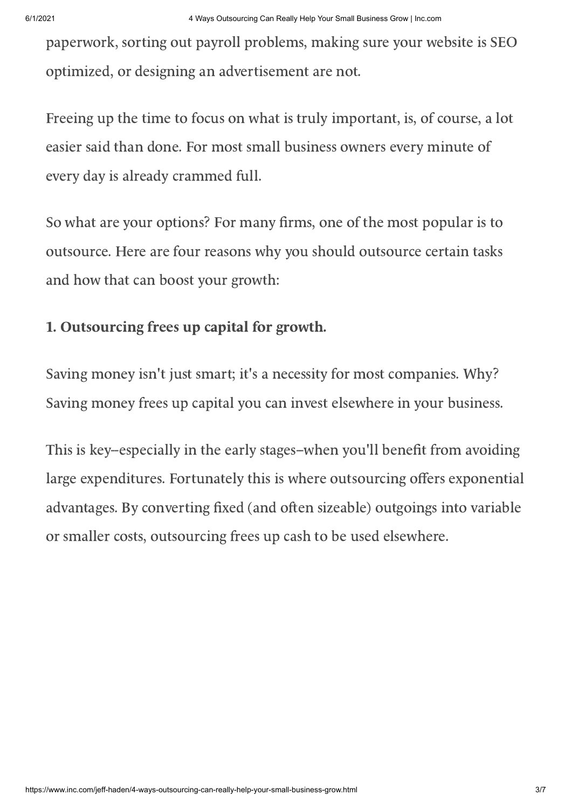paperwork, sorting out payroll problems, making sure your website is SEO optimized, or designing an advertisement are not.

Freeing up the time to focus on what is truly important, is, of course, a lot easier said than done. For most small business owners every minute of every day is already crammed full.

So what are your options? For many firms, one of the most popular is to outsource. Here are four reasons why you should outsource certain tasks and how that can boost your growth:

### 1. Outsourcing frees up capital for growth.

Saving money isn't just smart; it's a necessity for most companies. Why? Saving money frees up capital you can invest elsewhere in your business.

This is key-especially in the early stages-when you'll benefit from avoiding large expenditures. Fortunately this is where outsourcing offers exponential advantages. By converting fixed (and often sizeable) outgoings into variable or smaller costs, outsourcing frees up cash to be used elsewhere.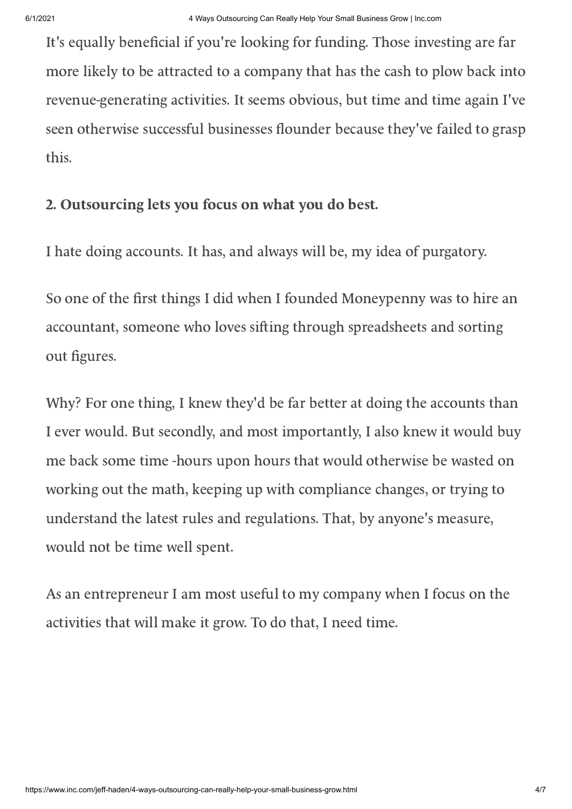It's equally beneficial if you're looking for funding. Those investing are far more likely to be attracted to a company that has the cash to plow back into revenue-generating activities. It seems obvious, but time and time again I've seen otherwise successful businesses flounder because they've failed to grasp this.

## 2. Outsourcing lets you focus on what you do best.

I hate doing accounts. It has, and always will be, my idea of purgatory.

So one of the first things I did when I founded Moneypenny was to hire an accountant, someone who loves sifting through spreadsheets and sorting out figures.

Why? For one thing, I knew they'd be far better at doing the accounts than I ever would. But secondly, and most importantly, I also knew it would buy me back some time -hours upon hours that would otherwise be wasted on working out the math, keeping up with compliance changes, or trying to understand the latest rules and regulations. That, by anyone's measure, would not be time well spent.

As an entrepreneur I am most useful to my company when I focus on the activities that will make it grow. To do that, I need time.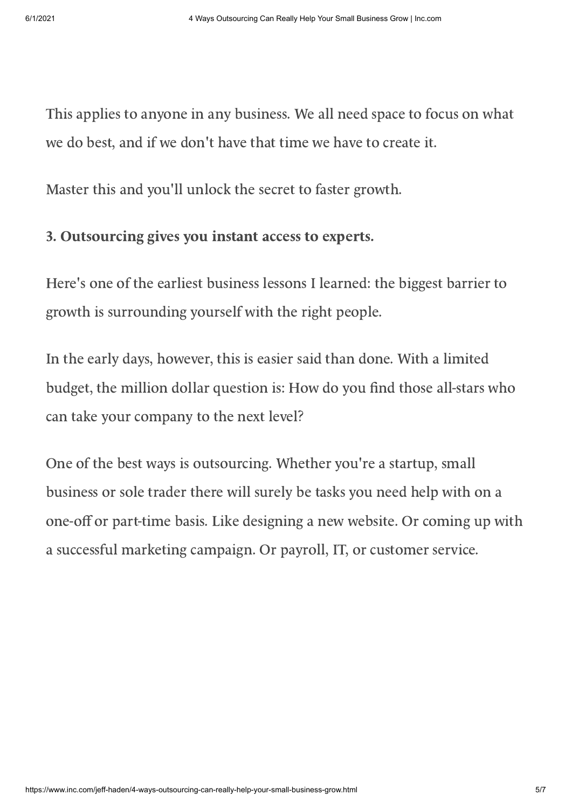This applies to anyone in any business. We all need space to focus on what we do best, and if we don't have that time we have to create it.

Master this and you'll unlock the secret to faster growth.

#### 3. Outsourcing gives you instant access to experts.

Here's one of the earliest business lessons I learned: the biggest barrier to growth is surrounding yourself with the right people.

In the early days, however, this is easier said than done. With a limited budget, the million dollar question is: How do you find those all-stars who can take your company to the next level?

One of the best ways is outsourcing. Whether you're a startup, small business or sole trader there will surely be tasks you need help with on a one-off or part-time basis. Like designing a new website. Or coming up with a successful marketing campaign. Or payroll, IT, or customer service.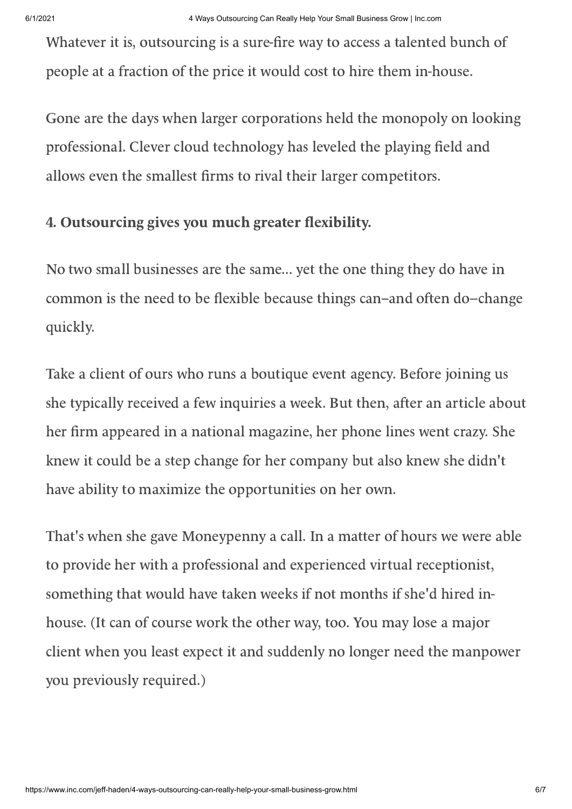Whatever it is, outsourcing is a sure-fire way to access a talented bunch of people at a fraction of the price it would cost to hire them in-house.

Gone are the days when larger corporations held the monopoly on looking professional. Clever cloud technology has leveled the playing field and allows even the smallest firms to rival their larger competitors.

### 4. Outsourcing gives you much greater flexibility.

No two small businesses are the same... yet the one thing they do have in common is the need to be flexible because things can-and often do--change quickly.

Take a client of ours who runs a boutique event agency. Before joining us she typically received a few inquiries a week. But then, after an article about her firm appeared in a national magazine, her phone lines went crazy. She knew it could be a step change for her company but also knew she didn't have ability to maximize the opportunities on her own.

That's when she gave Moneypenny a call. In a matter of hours we were able to provide her with a professional and experienced virtual receptionist, something that would have taken weeks if not months if she'd hired inhouse. (It can of course work the other way, too. You may lose a major client when you least expect it and suddenly no longer need the manpower you previously required.)